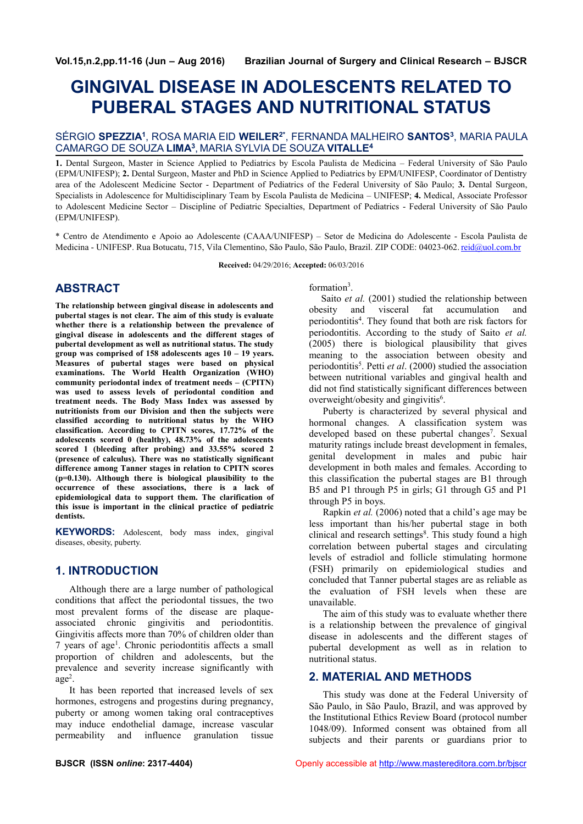# **GINGIVAL DISEASE IN ADOLESCENTS RELATED TO PUBERAL STAGES AND NUTRITIONAL STATUS**

## SÉRGIO **SPEZZIA<sup>1</sup>** , ROSA MARIA EID **WEILER2\***, FERNANDA MALHEIRO **SANTOS<sup>3</sup>** , MARIA PAULA CAMARGO DE SOUZA **LIMA<sup>3</sup>** , MARIA SYLVIA DE SOUZA **VITALLE<sup>4</sup>**

**1.** Dental Surgeon, Master in Science Applied to Pediatrics by Escola Paulista de Medicina – Federal University of São Paulo (EPM/UNIFESP); **2.** Dental Surgeon, Master and PhD in Science Applied to Pediatrics by EPM/UNIFESP, Coordinator of Dentistry area of the Adolescent Medicine Sector - Department of Pediatrics of the Federal University of São Paulo; **3.** Dental Surgeon, Specialists in Adolescence for Multidisciplinary Team by Escola Paulista de Medicina – UNIFESP; **4.** Medical, Associate Professor to Adolescent Medicine Sector – Discipline of Pediatric Specialties, Department of Pediatrics - Federal University of São Paulo (EPM/UNIFESP).

\* Centro de Atendimento e Apoio ao Adolescente (CAAA/UNIFESP) – Setor de Medicina do Adolescente - Escola Paulista de Medicina - UNIFESP. Rua Botucatu, 715, Vila Clementino, São Paulo, São Paulo, Brazil. ZIP CODE: 04023-062. reid@uol.com.br

**Received:** 04/29/2016; **Accepted:** 06/03/2016

## **ABSTRACT**

**The relationship between gingival disease in adolescents and pubertal stages is not clear. The aim of this study is evaluate whether there is a relationship between the prevalence of gingival disease in adolescents and the different stages of pubertal development as well as nutritional status. The study group was comprised of 158 adolescents ages 10 – 19 years. Measures of pubertal stages were based on physical examinations. The World Health Organization (WHO) community periodontal index of treatment needs – (CPITN) was used to assess levels of periodontal condition and treatment needs. The Body Mass Index was assessed by nutritionists from our Division and then the subjects were classified according to nutritional status by the WHO classification. According to CPITN scores, 17.72% of the adolescents scored 0 (healthy), 48.73% of the adolescents scored 1 (bleeding after probing) and 33.55% scored 2 (presence of calculus). There was no statistically significant difference among Tanner stages in relation to CPITN scores (p=0.130). Although there is biological plausibility to the occurrence of these associations, there is a lack of epidemiological data to support them. The clarification of this issue is important in the clinical practice of pediatric dentists.**

**KEYWORDS:** Adolescent, body mass index, gingival diseases, obesity, puberty.

## **1. INTRODUCTION**

Although there are a large number of pathological conditions that affect the periodontal tissues, the two most prevalent forms of the disease are plaque associated chronic gingivitis and periodontitis. Gingivitis affects more than 70% of children older than 7 years of age<sup>1</sup>. Chronic periodontitis affects a small proportion of children and adolescents, but the prevalence and severity increase significantly with  $age<sup>2</sup>$ .

.It has been reported that increased levels of sex hormones, estrogens and progestins during pregnancy, puberty or among women taking oral contraceptives may induce endothelial damage, increase vascular permeability and influence granulation tissue formation<sup>3</sup>.

Saito *et al.* (2001) studied the relationship between obesity and visceral fat accumulation and periodontitis<sup>4</sup>. They found that both are risk factors for periodontitis. According to the study of Saito *et al.* (2005) there is biological plausibility that gives meaning to the association between obesity and periodontitis<sup>5</sup>. Petti *et al.* (2000) studied the association between nutritional variables and gingival health and did not find statistically significant differences between overweight/obesity and gingivitis<sup>6</sup>.

Puberty is characterized by several physical and hormonal changes. A classification system was developed based on these pubertal changes<sup>7</sup>. Sexual maturity ratings include breast development in females, genital development in males and pubic hair development in both males and females. According to this classification the pubertal stages are B1 through B5 and P1 through P5 in girls; G1 through G5 and P1 through P5 in boys.

Rapkin *et al.* (2006) noted that a child's age may be less important than his/her pubertal stage in both clinical and research settings<sup>8</sup>. This study found a high correlation between pubertal stages and circulating levels of estradiol and follicle stimulating hormone (FSH) primarily on epidemiological studies and concluded that Tanner pubertal stages are as reliable as the evaluation of FSH levels when these are unavailable.

The aim of this study was to evaluate whether there is a relationship between the prevalence of gingival disease in adolescents and the different stages of pubertal development as well as in relation to nutritional status.

## **2. MATERIAL AND METHODS**

This study was done at the Federal University of São Paulo, in São Paulo, Brazil, and was approved by the Institutional Ethics Review Board (protocol number 1048/09). Informed consent was obtained from all subjects and their parents or guardians prior to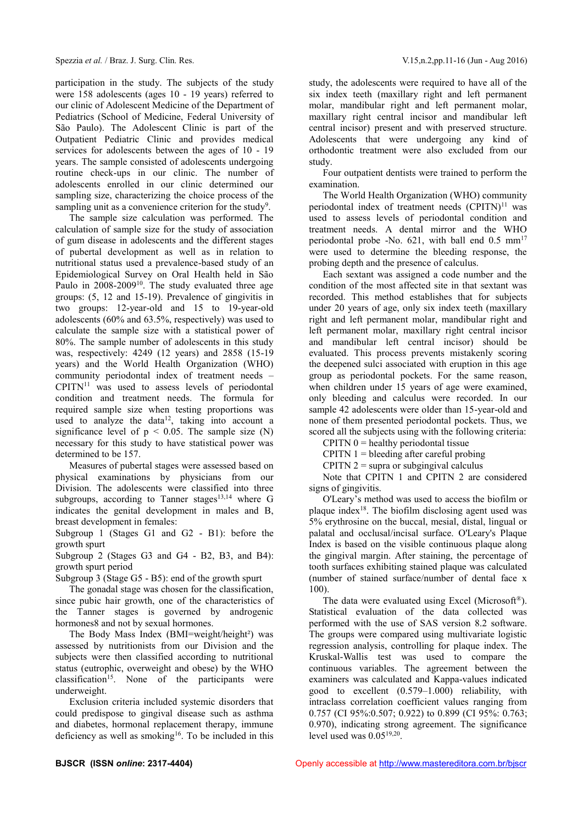participation in the study. The subjects of the study were 158 adolescents (ages 10 - 19 years) referred to our clinic of Adolescent Medicine of the Department of Pediatrics (School of Medicine, Federal University of São Paulo). The Adolescent Clinic is part of the Outpatient Pediatric Clinic and provides medical services for adolescents between the ages of 10 - 19 years. The sample consisted of adolescents undergoing routine check-ups in our clinic. The number of adolescents enrolled in our clinic determined our sampling size, characterizing the choice process of the sampling unit as a convenience criterion for the study<sup>9</sup>.

The sample size calculation was performed. The calculation of sample size for the study of association of gum disease in adolescents and the different stages of pubertal development as well as in relation to nutritional status used a prevalence-based study of an Epidemiological Survey on Oral Health held in São Paulo in 2008-2009<sup>10</sup>. The study evaluated three age groups: (5, 12 and 15-19). Prevalence of gingivitis in two groups: 12-year-old and 15 to 19-year-old adolescents (60% and 63.5%, respectively) was used to calculate the sample size with a statistical power of 80%. The sample number of adolescents in this study was, respectively: 4249 (12 years) and 2858 (15-19 years) and the World Health Organization (WHO) community periodontal index of treatment needs –  $CPITN<sup>11</sup>$  was used to assess levels of periodontal condition and treatment needs. The formula for required sample size when testing proportions was used to analyze the data<sup>12</sup>, taking into account a significance level of  $p < 0.05$ . The sample size (N) necessary for this study to have statistical power was determined to be 157.

Measures of pubertal stages were assessed based on physical examinations by physicians from our Division. The adolescents were classified into three subgroups, according to Tanner stages<sup>13,14</sup> where G indicates the genital development in males and B, breast development in females:

Subgroup 1 (Stages G1 and G2 - B1): before the growth spurt

Subgroup 2 (Stages G3 and G4 - B2, B3, and B4): growth spurt period

Subgroup 3 (Stage G5 - B5): end of the growth spurt

The gonadal stage was chosen for the classification, since pubic hair growth, one of the characteristics of the Tanner stages is governed by androgenic hormones8 and not by sexual hormones.

The Body Mass Index (BMI=weight/height²) was assessed by nutritionists from our Division and the subjects were then classified according to nutritional status (eutrophic, overweight and obese) by the WHO  $classification<sup>15</sup>$ . None of the participants were underweight.

Exclusion criteria included systemic disorders that could predispose to gingival disease such as asthma and diabetes, hormonal replacement therapy, immune deficiency as well as smoking<sup>16</sup>. To be included in this study, the adolescents were required to have all of the six index teeth (maxillary right and left permanent molar, mandibular right and left permanent molar, maxillary right central incisor and mandibular left central incisor) present and with preserved structure. Adolescents that were undergoing any kind of orthodontic treatment were also excluded from our study.

Four outpatient dentists were trained to perform the examination.

The World Health Organization (WHO) community periodontal index of treatment needs  $(CPITN)^{11}$  was used to assess levels of periodontal condition and treatment needs. A dental mirror and the WHO periodontal probe -No. 621, with ball end  $0.5 \text{ mm}^{17}$ were used to determine the bleeding response, the probing depth and the presence of calculus.

Each sextant was assigned a code number and the condition of the most affected site in that sextant was recorded. This method establishes that for subjects under 20 years of age, only six index teeth (maxillary right and left permanent molar, mandibular right and left permanent molar, maxillary right central incisor and mandibular left central incisor) should be evaluated. This process prevents mistakenly scoring the deepened sulci associated with eruption in this age group as periodontal pockets. For the same reason, when children under 15 years of age were examined, only bleeding and calculus were recorded. In our sample 42 adolescents were older than 15-year-old and none of them presented periodontal pockets. Thus, we scored all the subjects using with the following criteria:

CPITN  $0 =$  healthy periodontal tissue

 $CPITN$  1 = bleeding after careful probing

CPITN  $2 =$  supra or subgingival calculus

Note that CPITN 1 and CPITN 2 are considered signs of gingivitis.

O'Leary's method was used to access the biofilm or plaque index<sup>18</sup>. The biofilm disclosing agent used was 5% erythrosine on the buccal, mesial, distal, lingual or palatal and occlusal/incisal surface. O'Leary's Plaque Index is based on the visible continuous plaque along the gingival margin. After staining, the percentage of tooth surfaces exhibiting stained plaque was calculated (number of stained surface/number of dental face x 100).

The data were evaluated using Excel (Microsoft®). Statistical evaluation of the data collected was performed with the use of SAS version 8.2 software. The groups were compared using multivariate logistic regression analysis, controlling for plaque index. The Kruskal-Wallis test was used to compare the continuous variables. The agreement between the examiners was calculated and Kappa-values indicated good to excellent (0.579–1.000) reliability, with intraclass correlation coefficient values ranging from 0.757 (CI 95%:0.507; 0.922) to 0.899 (CI 95%: 0.763; 0.970), indicating strong agreement. The significance level used was  $0.05^{19,20}$ .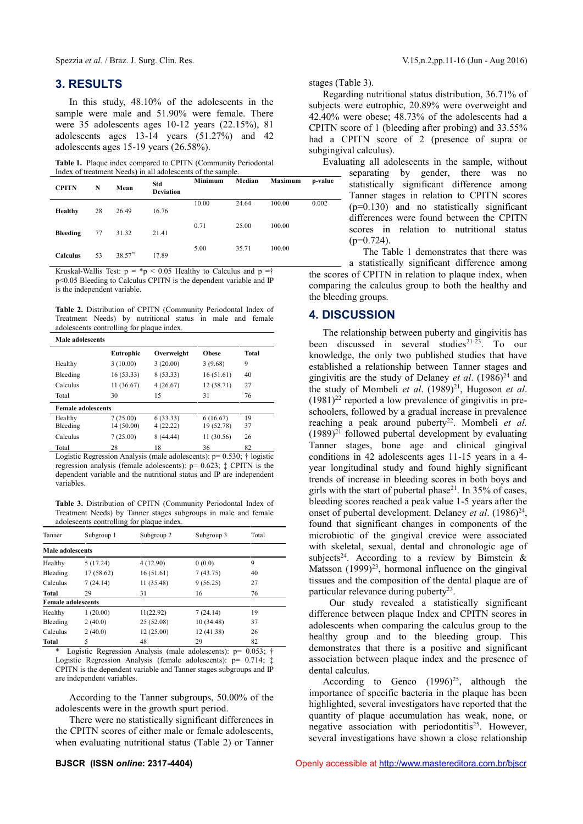## **3. RESULTS**

In this study, 48.10% of the adolescents in the sample were male and 51.90% were female. There were 35 adolescents ages 10-12 years (22.15%), 81 adolescents ages 13-14 years (51.27%) and 42 adolescents ages 15-19 years (26.58%).

**Table 1.** Plaque index compared to CPITN (Community Periodontal Index of treatment Needs) in all adolescents of the sample.

| <b>CPITN</b>    | N  | Mean    | Std<br><b>Deviation</b> | Minimum | Median | Maximum | p-value |
|-----------------|----|---------|-------------------------|---------|--------|---------|---------|
| Healthy         | 28 | 26.49   | 16.76                   | 10.00   | 24.64  | 100.00  | 0.002   |
| Bleeding        | 77 | 31.32   | 21.41                   | 0.71    | 25.00  | 100.00  |         |
| <b>Calculus</b> | 53 | 38.57** | 17.89                   | 5.00    | 35.71  | 100.00  |         |

Kruskal-Wallis Test:  $p = *p < 0.05$  Healthy to Calculus and  $p = \dagger$ p<0.05 Bleeding to Calculus CPITN is the dependent variable and IP is the independent variable.

**Table 2.** Distribution of CPITN (Community Periodontal Index of Treatment Needs) by nutritional status in male and female adolescents controlling for plaque index.

| Male adolescents          |            |            |              |       |  |  |  |
|---------------------------|------------|------------|--------------|-------|--|--|--|
|                           | Eutrophic  | Overweight | <b>Obese</b> | Total |  |  |  |
| Healthy                   | 3(10.00)   | 3(20.00)   | 3(9.68)      | 9     |  |  |  |
| Bleeding                  | 16(53.33)  | 8 (53.33)  | 16(51.61)    | 40    |  |  |  |
| Calculus                  | 11 (36.67) | 4(26.67)   | 12 (38.71)   | 27    |  |  |  |
| Total                     | 30         | 15         | 31           | 76    |  |  |  |
| <b>Female adolescents</b> |            |            |              |       |  |  |  |
| Healthy                   | 7(25.00)   | 6(33.33)   | 6(16.67)     | 19    |  |  |  |
| Bleeding                  | 14 (50.00) | 4(22.22)   | 19 (52.78)   | 37    |  |  |  |
| Calculus                  | 7(25.00)   | 8(44.44)   | 11 (30.56)   | 26    |  |  |  |
| Total                     | 28         | 18         | 36           | 82    |  |  |  |

Logistic Regression Analysis (male adolescents):  $p= 0.530$ ; † logistic regression analysis (female adolescents): p= 0.623; ‡ CPITN is the dependent variable and the nutritional status and IP are independent variables.

**Table 3.** Distribution of CPITN (Community Periodontal Index of Treatment Needs) by Tanner stages subgroups in male and female adolescents controlling for plaque index.

| Tanner                    | Subgroup 1 | Subgroup 2            | Subgroup 3 | Total |
|---------------------------|------------|-----------------------|------------|-------|
| Male adolescents          |            |                       |            |       |
| Healthy                   | 5(17.24)   | 4(12.90)<br>0(0.0)    |            | 9     |
| Bleeding                  | 17(58.62)  | 16(51.61)             | 7(43.75)   | 40    |
| Calculus                  | 7(24.14)   | 11 (35.48)            | 9(56.25)   | 27    |
| <b>Total</b>              | 29         | 31                    | 16         | 76    |
| <b>Female adolescents</b> |            |                       |            |       |
| Healthy                   | 1(20.00)   | 11(22.92)<br>7(24.14) |            | 19    |
| 2(40.0)<br>Bleeding       |            | 25 (52.08)            | 10 (34.48) | 37    |
| 2(40.0)<br>Calculus       |            | 12(25.00)             | 12 (41.38) |       |
| <b>Total</b>              |            | 48                    | 29         | 82    |

\* Logistic Regression Analysis (male adolescents): p= 0.053; † Logistic Regression Analysis (female adolescents): p= 0.714;  $\ddagger$ CPITN is the dependent variable and Tanner stages subgroups and IP are independent variables.

According to the Tanner subgroups, 50.00% of the adolescents were in the growth spurt period.

There were no statistically significant differences in the CPITN scores of either male or female adolescents, when evaluating nutritional status (Table 2) or Tanner

Regarding nutritional status distribution, 36.71% of subjects were eutrophic, 20.89% were overweight and 42.40% were obese; 48.73% of the adolescents had a CPITN score of 1 (bleeding after probing) and 33.55% had a CPITN score of 2 (presence of supra or subgingival calculus).

Evaluating all adolescents in the sample, without separating by gender, there was no statistically significant difference among Tanner stages in relation to CPITN scores (p=0.130) and no statistically significant differences were found between the CPITN scores in relation to nutritional status  $(p=0.724)$ .

> The Table 1 demonstrates that there was a statistically significant difference among

the scores of CPITN in relation to plaque index, when comparing the calculus group to both the healthy and the bleeding groups.

## **4. DISCUSSION**

stages (Table 3).

The relationship between puberty and gingivitis has been discussed in several studies<sup>21-23</sup>. To our knowledge, the only two published studies that have established a relationship between Tanner stages and gingivitis are the study of Delaney *et al.* (1986)<sup>24</sup> and the study of Mombeli *et al.* (1989)<sup>21</sup>, Hugoson *et al.*  $(1981)^{22}$  reported a low prevalence of gingivitis in preschoolers, followed by a gradual increase in prevalence reaching a peak around puberty<sup>22</sup>. Mombeli et al.  $(1989)^{21}$  followed pubertal development by evaluating Tanner stages, bone age and clinical gingival conditions in 42 adolescents ages 11-15 years in a 4 year longitudinal study and found highly significant trends of increase in bleeding scores in both boys and girls with the start of pubertal phase<sup>21</sup>. In 35% of cases, bleeding scores reached a peak value 1-5 years after the onset of pubertal development. Delaney *et al.* (1986)<sup>24</sup>, found that significant changes in components of the microbiotic of the gingival crevice were associated with skeletal, sexual, dental and chronologic age of subjects<sup>24</sup>. According to a review by Bimstein & Matsson  $(1999)^{23}$ , hormonal influence on the gingival tissues and the composition of the dental plaque are of particular relevance during puberty<sup>23</sup>.

Our study revealed a statistically significant difference between plaque Index and CPITN scores in adolescents when comparing the calculus group to the healthy group and to the bleeding group. This demonstrates that there is a positive and significant association between plaque index and the presence of dental calculus.

According to Genco  $(1996)^{25}$ , although the importance of specific bacteria in the plaque has been highlighted, several investigators have reported that the quantity of plaque accumulation has weak, none, or negative association with periodontitis<sup>25</sup>. However, several investigations have shown a close relationship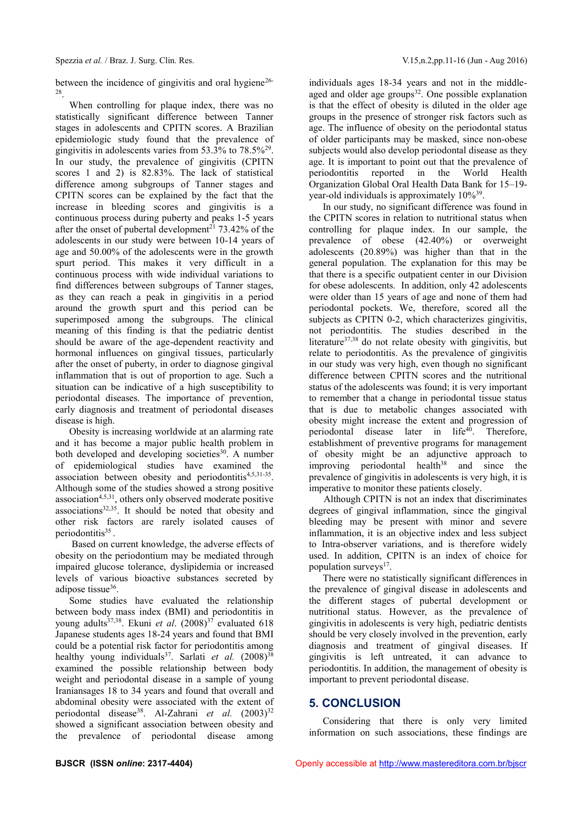between the incidence of gingivitis and oral hygiene<sup>26-</sup> 28 .

When controlling for plaque index, there was no statistically significant difference between Tanner stages in adolescents and CPITN scores. A Brazilian epidemiologic study found that the prevalence of gingivitis in adolescents varies from 53.3% to 78.5%<sup>29</sup> . In our study, the prevalence of gingivitis (CPITN scores 1 and 2) is 82.83%. The lack of statistical difference among subgroups of Tanner stages and CPITN scores can be explained by the fact that the increase in bleeding scores and gingivitis is a continuous process during puberty and peaks 1-5 years after the onset of pubertal development<sup>21</sup> 73.42% of the adolescents in our study were between 10-14 years of age and 50.00% of the adolescents were in the growth spurt period. This makes it very difficult in a continuous process with wide individual variations to find differences between subgroups of Tanner stages, as they can reach a peak in gingivitis in a period around the growth spurt and this period can be superimposed among the subgroups. The clinical meaning of this finding is that the pediatric dentist should be aware of the age-dependent reactivity and hormonal influences on gingival tissues, particularly after the onset of puberty, in order to diagnose gingival inflammation that is out of proportion to age. Such a situation can be indicative of a high susceptibility to periodontal diseases. The importance of prevention, early diagnosis and treatment of periodontal diseases disease is high.

Obesity is increasing worldwide at an alarming rate and it has become a major public health problem in both developed and developing societies<sup>30</sup>. A number of epidemiological studies have examined the association between obesity and periodontitis<sup>4,5,31-35</sup>. Although some of the studies showed a strong positive association4,5,31, others only observed moderate positive associations<sup>32,35</sup>. It should be noted that obesity and other risk factors are rarely isolated causes of periodontitis<sup>35</sup>.

Based on current knowledge, the adverse effects of obesity on the periodontium may be mediated through impaired glucose tolerance, dyslipidemia or increased levels of various bioactive substances secreted by adipose tissue<sup>36</sup>.

Some studies have evaluated the relationship between body mass index (BMI) and periodontitis in young adults<sup>37,38</sup>. Ekuni *et al.*  $(2008)^{37}$  evaluated 618 Japanese students ages 18-24 years and found that BMI could be a potential risk factor for periodontitis among healthy young individuals<sup>37</sup>. Sarlati *et al.* (2008)<sup>38</sup> examined the possible relationship between body weight and periodontal disease in a sample of young Iraniansages 18 to 34 years and found that overall and abdominal obesity were associated with the extent of periodontal disease<sup>38</sup>. Al-Zahrani *et al.* (2003)<sup>32</sup> showed a significant association between obesity and the prevalence of periodontal disease among

individuals ages 18-34 years and not in the middle aged and older age groups<sup>32</sup>. One possible explanation is that the effect of obesity is diluted in the older age groups in the presence of stronger risk factors such as age. The influence of obesity on the periodontal status of older participants may be masked, since non-obese subjects would also develop periodontal disease as they age. It is important to point out that the prevalence of periodontitis reported in the World Health Organization Global Oral Health Data Bank for 15–19 year-old individuals is approximately 10%<sup>39</sup>.

In our study, no significant difference was found in the CPITN scores in relation to nutritional status when controlling for plaque index. In our sample, the prevalence of obese (42.40%) or overweight adolescents (20.89%) was higher than that in the general population. The explanation for this may be that there is a specific outpatient center in our Division for obese adolescents. In addition, only 42 adolescents were older than 15 years of age and none of them had periodontal pockets. We, therefore, scored all the subjects as CPITN 0-2, which characterizes gingivitis, not periodontitis. The studies described in the literature37,38 do not relate obesity with gingivitis, but relate to periodontitis. As the prevalence of gingivitis in our study was very high, even though no significant difference between CPITN scores and the nutritional status of the adolescents was found; it is very important to remember that a change in periodontal tissue status that is due to metabolic changes associated with obesity might increase the extent and progression of periodontal disease later in life<sup>40</sup>. Therefore, establishment of preventive programs for management of obesity might be an adjunctive approach to improving periodontal health<sup>38</sup> and since the prevalence of gingivitis in adolescents is very high, it is imperative to monitor these patients closely.

Although CPITN is not an index that discriminates degrees of gingival inflammation, since the gingival bleeding may be present with minor and severe inflammation, it is an objective index and less subject to Intra-observer variations, and is therefore widely used. In addition, CPITN is an index of choice for population surveys<sup>17</sup>.

There were no statistically significant differences in the prevalence of gingival disease in adolescents and the different stages of pubertal development or nutritional status. However, as the prevalence of gingivitis in adolescents is very high, pediatric dentists should be very closely involved in the prevention, early diagnosis and treatment of gingival diseases. If gingivitis is left untreated, it can advance to periodontitis. In addition, the management of obesity is important to prevent periodontal disease.

## **5. CONCLUSION**

Considering that there is only very limited information on such associations, these findings are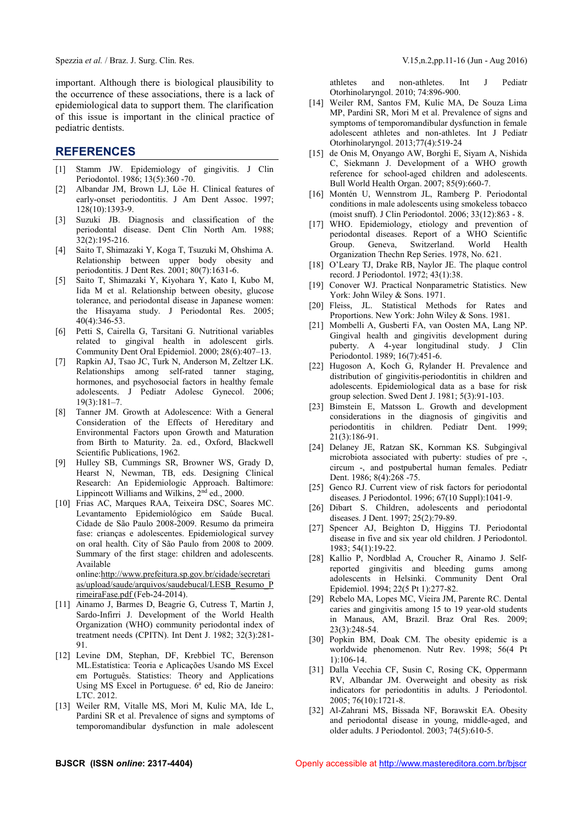Spezzia *et al.* / Braz. J. Surg. Clin. Res. V.15,n.2,pp.11-16 (Jun - Aug 2016)

important. Although there is biological plausibility to the occurrence of these associations, there is a lack of epidemiological data to support them. The clarification of this issue is important in the clinical practice of pediatric dentists.

#### **REFERENCES**

- [1] Stamm JW. Epidemiology of gingivitis. J Clin Periodontol. 1986; 13(5):360 -70.
- [2] Albandar JM, Brown LJ, Löe H. Clinical features of early-onset periodontitis. J Am Dent Assoc. 1997;  $128(10):1393-9.$
- [3] Suzuki JB. Diagnosis and classification of the periodontal disease. Dent Clin North Am. 1988; 32(2):195-216.
- [4] Saito T, Shimazaki Y, Koga T, Tsuzuki M, Ohshima A. Relationship between upper body obesity and periodontitis. J Dent Res. 2001; 80(7):1631-6.
- [5] Saito T, Shimazaki Y, Kiyohara Y, Kato I, Kubo M, Iida M et al. Relationship between obesity, glucose tolerance, and periodontal disease in Japanese women: the Hisayama study. J Periodontal Res. 2005; 40(4):346-53.
- [6] Petti S, Cairella G, Tarsitani G. Nutritional variables related to gingival health in adolescent girls. Community Dent Oral Epidemiol. 2000; 28(6):407–13.
- [7] Rapkin AJ, Tsao JC, Turk N, Anderson M, Zeltzer LK. Relationships among self-rated tanner staging, hormones, and psychosocial factors in healthy female adolescents. J Pediatr Adolesc Gynecol. 2006; 19(3):181–7.
- [8] Tanner JM. Growth at Adolescence: With a General Consideration of the Effects of Hereditary and Environmental Factors upon Growth and Maturation from Birth to Maturity. 2a. ed., Oxford, Blackwell Scientific Publications, 1962.
- [9] Hulley SB, Cummings SR, Browner WS, Grady D, Hearst N, Newman, TB, eds. Designing Clinical Research: An Epidemiologic Approach. Baltimore: Lippincott Williams and Wilkins,  $2<sup>nd</sup>$  ed., 2000.
- [10] Frias AC, Marques RAA, Teixeira DSC, Soares MC. Levantamento Epidemiológico em Saúde Bucal. Cidade de São Paulo 2008-2009. Resumo da primeira fase: crianças e adolescentes. Epidemiological survey on oral health. City of São Paulo from 2008 to 2009. Summary of the first stage: children and adolescents. Available online:http://www.prefeitura.sp.gov.br/cidade/secretari

as/upload/saude/arquivos/saudebucal/LESB\_Resumo\_P rimeiraFase.pdf (Feb-24-2014).

- [11] Ainamo J, Barmes D, Beagrie G, Cutress T, Martin J, Sardo-Infirri J. Development of the World Health Organization (WHO) community periodontal index of treatment needs (CPITN). Int Dent J. 1982; 32(3):281- 91.
- [12] Levine DM, Stephan, DF, Krebbiel TC, Berenson ML.Estatística: Teoria e Aplicações Usando MS Excel em Português. Statistics: Theory and Applications Using MS Excel in Portuguese. 6ª ed, Rio de Janeiro: LTC. 2012.
- [13] Weiler RM, Vitalle MS, Mori M, Kulic MA, Ide L, Pardini SR et al. Prevalence of signs and symptoms of temporomandibular dysfunction in male adolescent

athletes and non-athletes. Int J Pediatr Otorhinolaryngol. 2010; 74:896-900.

- [14] Weiler RM, Santos FM, Kulic MA, De Souza Lima MP, Pardini SR, Mori M et al. Prevalence of signs and symptoms of temporomandibular dysfunction in female adolescent athletes and non-athletes. Int J Pediatr Otorhinolaryngol. 2013;77(4):519-24
- [15] de Onis M, Onyango AW, Borghi E, Siyam A, Nishida C, Siekmann J. Development of a WHO growth reference for school-aged children and adolescents. Bull World Health Organ. 2007; 85(9):660-7.
- [16] Montén U, Wennstrom JL, Ramberg P. Periodontal conditions in male adolescents using smokeless tobacco (moist snuff). J Clin Periodontol. 2006; 33(12):863 - 8.
- [17] WHO. Epidemiology, etiology and prevention of periodontal diseases. Report of a WHO Scientific Group. Geneva, Switzerland. World Health Organization Thechn Rep Series. 1978, No. 621.
- [18] O'Leary TJ, Drake RB, Naylor JE. The plaque control record. J Periodontol. 1972; 43(1):38.
- [19] Conover WJ. Practical Nonparametric Statistics. New York: John Wiley & Sons. 1971.
- [20] Fleiss, JL. Statistical Methods for Rates and Proportions. New York: John Wiley & Sons. 1981.
- [21] Mombelli A, Gusberti FA, van Oosten MA, Lang NP. Gingival health and gingivitis development during puberty. A 4-year longitudinal study. J Clin Periodontol. 1989; 16(7):451-6.
- [22] Hugoson A, Koch G, Rylander H. Prevalence and distribution of gingivitis-periodontitis in children and adolescents. Epidemiological data as a base for risk group selection. Swed Dent J. 1981; 5(3):91-103.
- [23] Bimstein E, Matsson L. Growth and development considerations in the diagnosis of gingivitis and periodontitis in children. Pediatr Dent. 1999; 21(3):186-91.
- [24] Delaney JE, Ratzan SK, Kornman KS. Subgingival microbiota associated with puberty: studies of pre -, circum -, and postpubertal human females. Pediatr Dent. 1986; 8(4):268 -75.
- [25] Genco RJ. Current view of risk factors for periodontal diseases. J Periodontol. 1996; 67(10 Suppl):1041-9.
- [26] Dibart S. Children, adolescents and periodontal diseases. J Dent. 1997; 25(2):79-89.
- [27] Spencer AJ, Beighton D, Higgins TJ. Periodontal disease in five and six year old children. J Periodontol. 1983; 54(1):19-22.
- [28] Kallio P, Nordblad A, Croucher R, Ainamo J. Selfreported gingivitis and bleeding gums among adolescents in Helsinki. Community Dent Oral Epidemiol. 1994; 22(5 Pt 1):277-82.
- [29] Rebelo MA, Lopes MC, Vieira JM, Parente RC. Dental caries and gingivitis among 15 to 19 year-old students in Manaus, AM, Brazil. Braz Oral Res. 2009;  $23(3) \cdot 248 - 54$
- [30] Popkin BM, Doak CM. The obesity epidemic is a worldwide phenomenon. Nutr Rev. 1998; 56(4 Pt 1):106-14.
- [31] Dalla Vecchia CF, Susin C, Rosing CK, Oppermann RV, Albandar JM. Overweight and obesity as risk indicators for periodontitis in adults. J Periodontol. 2005; 76(10):1721-8.
- [32] Al-Zahrani MS, Bissada NF, Borawskit EA. Obesity and periodontal disease in young, middle-aged, and older adults. J Periodontol. 2003; 74(5):610-5.